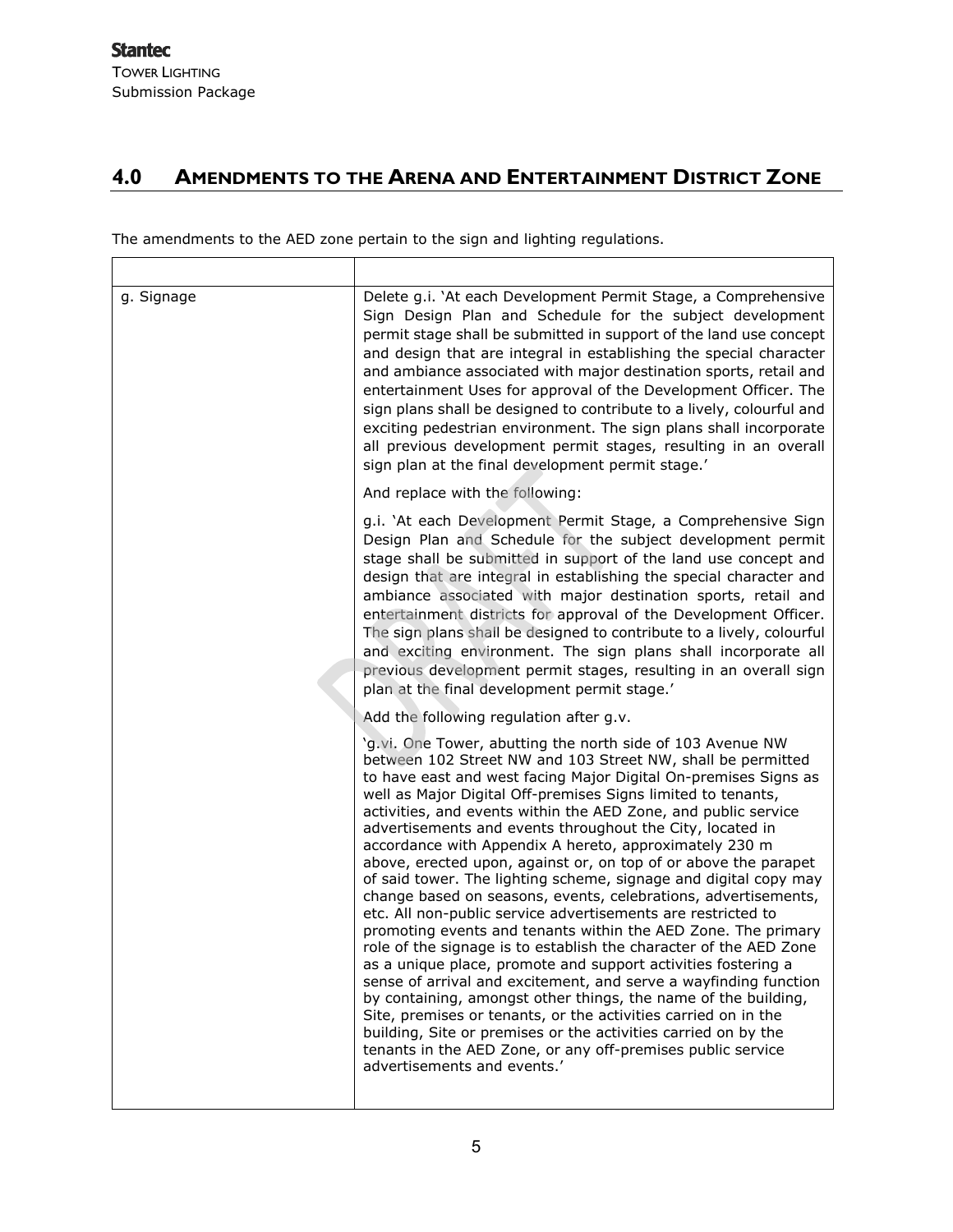$\mathsf{r}$ 

## **4.0 AMENDMENTS TO THE ARENA AND ENTERTAINMENT DISTRICT ZONE**

The amendments to the AED zone pertain to the sign and lighting regulations.

| g. Signage | Delete g.i. 'At each Development Permit Stage, a Comprehensive<br>Sign Design Plan and Schedule for the subject development<br>permit stage shall be submitted in support of the land use concept<br>and design that are integral in establishing the special character<br>and ambiance associated with major destination sports, retail and<br>entertainment Uses for approval of the Development Officer. The<br>sign plans shall be designed to contribute to a lively, colourful and<br>exciting pedestrian environment. The sign plans shall incorporate<br>all previous development permit stages, resulting in an overall<br>sign plan at the final development permit stage.'                                                                                                                                                                                                                                                                                                                                                                                                                                                                                                                                                                                                                         |
|------------|---------------------------------------------------------------------------------------------------------------------------------------------------------------------------------------------------------------------------------------------------------------------------------------------------------------------------------------------------------------------------------------------------------------------------------------------------------------------------------------------------------------------------------------------------------------------------------------------------------------------------------------------------------------------------------------------------------------------------------------------------------------------------------------------------------------------------------------------------------------------------------------------------------------------------------------------------------------------------------------------------------------------------------------------------------------------------------------------------------------------------------------------------------------------------------------------------------------------------------------------------------------------------------------------------------------|
|            | And replace with the following:                                                                                                                                                                                                                                                                                                                                                                                                                                                                                                                                                                                                                                                                                                                                                                                                                                                                                                                                                                                                                                                                                                                                                                                                                                                                               |
|            | g.i. 'At each Development Permit Stage, a Comprehensive Sign<br>Design Plan and Schedule for the subject development permit<br>stage shall be submitted in support of the land use concept and<br>design that are integral in establishing the special character and<br>ambiance associated with major destination sports, retail and<br>entertainment districts for approval of the Development Officer.<br>The sign plans shall be designed to contribute to a lively, colourful<br>and exciting environment. The sign plans shall incorporate all<br>previous development permit stages, resulting in an overall sign<br>plan at the final development permit stage.'                                                                                                                                                                                                                                                                                                                                                                                                                                                                                                                                                                                                                                      |
|            | Add the following regulation after g.v.                                                                                                                                                                                                                                                                                                                                                                                                                                                                                                                                                                                                                                                                                                                                                                                                                                                                                                                                                                                                                                                                                                                                                                                                                                                                       |
|            | 'g.vi. One Tower, abutting the north side of 103 Avenue NW<br>between 102 Street NW and 103 Street NW, shall be permitted<br>to have east and west facing Major Digital On-premises Signs as<br>well as Major Digital Off-premises Signs limited to tenants,<br>activities, and events within the AED Zone, and public service<br>advertisements and events throughout the City, located in<br>accordance with Appendix A hereto, approximately 230 m<br>above, erected upon, against or, on top of or above the parapet<br>of said tower. The lighting scheme, signage and digital copy may<br>change based on seasons, events, celebrations, advertisements,<br>etc. All non-public service advertisements are restricted to<br>promoting events and tenants within the AED Zone. The primary<br>role of the signage is to establish the character of the AED Zone<br>as a unique place, promote and support activities fostering a<br>sense of arrival and excitement, and serve a wayfinding function<br>by containing, amongst other things, the name of the building,<br>Site, premises or tenants, or the activities carried on in the<br>building, Site or premises or the activities carried on by the<br>tenants in the AED Zone, or any off-premises public service<br>advertisements and events.' |